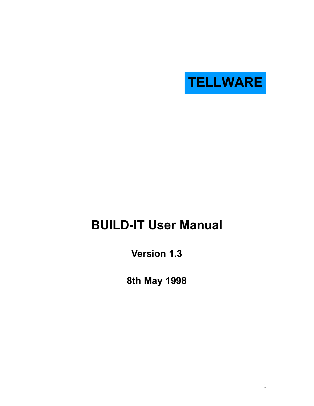

# **BUILD-IT User Manual**

**Version 1.3** 

**8th May 1998**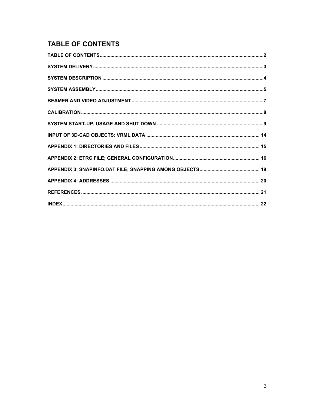## **TABLE OF CONTENTS**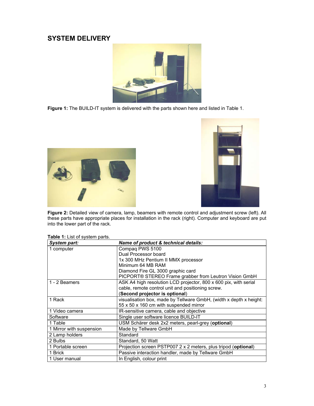### **SYSTEM DELIVERY**



**Figure 1:** The BUILD-IT system is delivered with the parts shown here and listed in Table 1.





**Figure 2:** Detailed view of camera, lamp, beamers with remote control and adjustment screw (left). All these parts have appropriate places for installation in the rack (right). Computer and keyboard are put into the lower part of the rack.

| Table 1: List of system parts. |  |  |  |  |  |
|--------------------------------|--|--|--|--|--|
|--------------------------------|--|--|--|--|--|

| <b>System part:</b>      | Name of product & technical details:                               |
|--------------------------|--------------------------------------------------------------------|
| 1 computer               | Compaq PWS 5100                                                    |
|                          | Dual Processor board                                               |
|                          | 1x 300 MHz Pentium II MMX processor                                |
|                          | Minimum 64 MB RAM                                                  |
|                          | Diamond Fire GL 3000 graphic card                                  |
|                          | PICPORT® STEREO Frame grabber from Leutron Vision GmbH             |
| 1 - 2 Beamers            | ASK A4 high resolution LCD projector, 800 x 600 pix, with serial   |
|                          | cable, remote control unit and positioning screw.                  |
|                          | (Second projector is optional)                                     |
| 1 Rack                   | visualisation box, made by Tellware GmbH, (width x depth x height: |
|                          | 55 x 50 x 160 cm with suspended mirror                             |
| 1 Video camera           | IR-sensitive camera, cable and objective                           |
| Software                 | Single user software licence BUILD-IT                              |
| 1 Table                  | USM Schärer desk 2x2 meters, pearl-grey (optional)                 |
| 1 Mirror with suspension | Made by Tellware GmbH                                              |
| 2 Lamp holders           | Standard                                                           |
| 2 Bulbs                  | Standard, 50 Watt                                                  |
| 1 Portable screen        | Projection screen PSTP007 2 x 2 meters, plus tripod (optional)     |
| 1 Brick                  | Passive interaction handler, made by Tellware GmbH                 |
| 1 User manual            | In English, colour print                                           |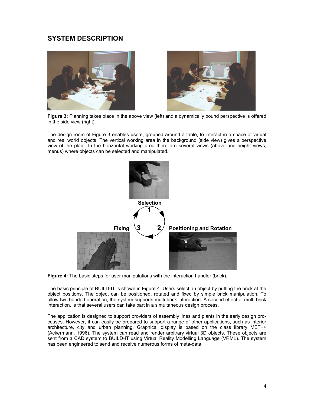### **SYSTEM DESCRIPTION**



**Figure 3:** Planning takes place in the above view (left) and a dynamically bound perspective is offered in the side view (right).

The design room of Figure 3 enables users, grouped around a table, to interact in a space of virtual and real world objects. The vertical working area in the background (side view) gives a perspective view of the plant. In the horizontal working area there are several views (above and height views, menus) where objects can be selected and manipulated.



**Figure 4:** The basic steps for user manipulations with the interaction handler (brick).

The basic principle of BUILD-IT is shown in Figure 4. Users select an object by putting the brick at the object positions. The object can be positioned, rotated and fixed by simple brick manipulation. To allow two handed operation, the system supports multi-brick interaction. A second effect of multi-brick interaction, is that several users can take part in a simultaneous design process.

The application is designed to support providers of assembly lines and plants in the early design processes. However, it can easily be prepared to support a range of other applications, such as interior architecture, city and urban planning. Graphical display is based on the class library MET++ (Ackermann, 1996). The system can read and render arbitrary virtual 3D objects. These objects are sent from a CAD system to BUILD-IT using Virtual Reality Modelling Language (VRML). The system has been engineered to send and receive numerous forms of meta-data.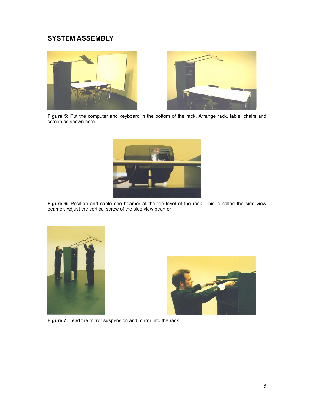### **SYSTEM ASSEMBLY**





**Figure 5:** Put the computer and keyboard in the bottom of the rack. Arrange rack, table, chairs and screen as shown here.



**Figure 6:** Position and cable one beamer at the top level of the rack. This is called the side view beamer. Adjust the vertical screw of the side view beamer





**Figure 7:** Lead the mirror suspension and mirror into the rack.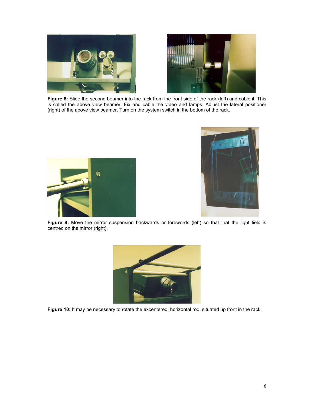



**Figure 8:** Slide the second beamer into the rack from the front side of the rack (left) and cable it. This is called the above view beamer. Fix and cable the video and lamps. Adjust the lateral positioner (right) of the above view beamer. Turn on the system switch in the bottom of the rack.





Figure 9: Move the mirror suspension backwards or forewords (left) so that that the light field is centred on the mirror (right).



Figure 10: It may be necessary to rotate the excentered, horizontal rod, situated up front in the rack.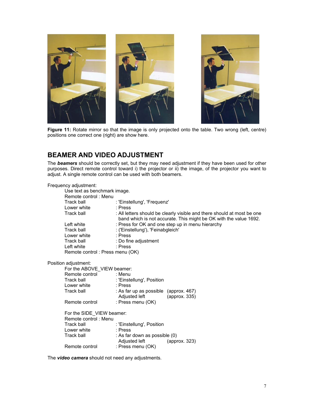

Figure 11: Rotate mirror so that the image is only projected onto the table. Two wrong (left, centre) positions one correct one (right) are show here.

### **BEAMER AND VIDEO ADJUSTMENT**

The *beamers* should be correctly set, but they may need adjustment if they have been used for other purposes. Direct remote control toward i) the projector or ii) the image, of the projector you want to adjust. A single remote control can be used with both beamers.

| Frequency adjustment:                             |                                                        |                                                                                                                                              |
|---------------------------------------------------|--------------------------------------------------------|----------------------------------------------------------------------------------------------------------------------------------------------|
| Use text as benchmark image.                      |                                                        |                                                                                                                                              |
| Remote control: Menu                              |                                                        |                                                                                                                                              |
| Track ball                                        | : 'Einstellung', 'Frequenz'                            |                                                                                                                                              |
| Lower white                                       | : Press                                                |                                                                                                                                              |
| Track ball <b>Track</b>                           |                                                        | : All letters should be clearly visible and there should at most be one<br>band which is not accurate. This might be OK with the value 1692. |
| Left white                                        |                                                        | : Press for OK and one step up in menu hierarchy                                                                                             |
| Track ball                                        | : ('Einstellung'), 'Feinabgleich'                      |                                                                                                                                              |
| Lower white                                       | : Press                                                |                                                                                                                                              |
| Track ball <b>Track</b>                           | : Do fine adjustment                                   |                                                                                                                                              |
| Left white                                        | : Press                                                |                                                                                                                                              |
| Remote control: Press menu (OK)                   |                                                        |                                                                                                                                              |
| Position adjustment:                              |                                                        |                                                                                                                                              |
| For the ABOVE_VIEW beamer:                        |                                                        |                                                                                                                                              |
| Remote control : Menu                             |                                                        |                                                                                                                                              |
| Track ball                                        | : 'Einstellung', Position                              |                                                                                                                                              |
| Lower white                                       | : Press                                                |                                                                                                                                              |
| Track ball                                        | : As far up as possible (approx. 467)<br>Adjusted left | (approx. 335)                                                                                                                                |
| Remote control                                    | : Press menu (OK)                                      |                                                                                                                                              |
| For the SIDE_VIEW beamer:<br>Remote control: Menu |                                                        |                                                                                                                                              |
| Track ball                                        | : 'Einstellung', Position                              |                                                                                                                                              |
| Lower white                                       | : Press                                                |                                                                                                                                              |
| Track ball                                        | : As far down as possible (0)                          |                                                                                                                                              |
|                                                   | Adjusted left                                          | (approx. 323)                                                                                                                                |
| Remote control                                    | : Press menu (OK)                                      |                                                                                                                                              |
|                                                   |                                                        |                                                                                                                                              |

The *video camera* should not need any adjustments.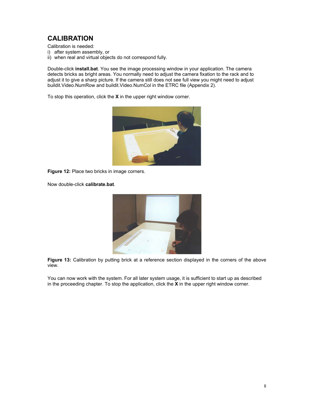## **CALIBRATION**

Calibration is needed:

- i) after system assembly, or
- ii) when real and virtual objects do not correspond fully.

Double-click **install.bat**. You see the image processing window in your application. The camera detects bricks as bright areas. You normally need to adjust the camera fixation to the rack and to adjust it to give a sharp picture. If the camera still does not see full view you might need to adjust buildit.Video.NumRow and buildit.Video.NumCol in the ETRC file (Appendix 2).

To stop this operation, click the **X** in the upper right window corner.



**Figure 12:** Place two bricks in image corners.

Now double-click **calibrate.bat**.



**Figure 13:** Calibration by putting brick at a reference section displayed in the corners of the above view.

You can now work with the system. For all later system usage, it is sufficient to start up as described in the proceeding chapter. To stop the application, click the **X** in the upper right window corner.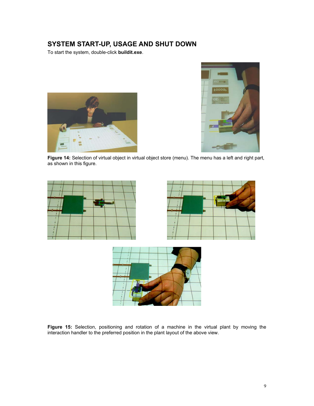### **SYSTEM START-UP, USAGE AND SHUT DOWN**

To start the system, double-click **buildit.exe**.





**Figure 14:** Selection of virtual object in virtual object store (menu). The menu has a left and right part, as shown in this figure.







**Figure 15:** Selection, positioning and rotation of a machine in the virtual plant by moving the interaction handler to the preferred position in the plant layout of the above view.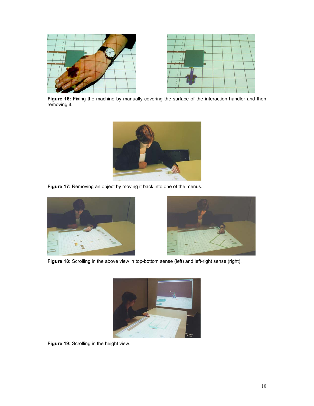

Figure 16: Fixing the machine by manually covering the surface of the interaction handler and then removing it.



**Figure 17:** Removing an object by moving it back into one of the menus.





Figure 18: Scrolling in the above view in top-bottom sense (left) and left-right sense (right).



**Figure 19:** Scrolling in the height view.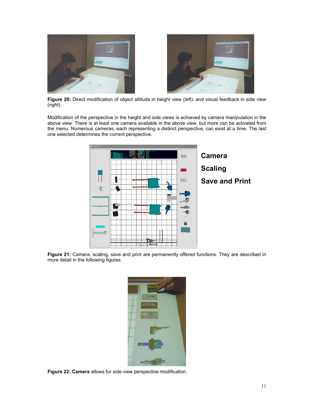

**Figure 20:** Direct modification of object altitude in height view (left), and visual feedback in side view (right).

Modification of the perspective in the height and side views is achieved by camera manipulation in the above view. There is at least one camera available in the above view, but more can be activated from the menu. Numerous cameras, each representing a distinct perspective, can exist at a time. The last one selected determines the current perspective.



**Figure 21:** Camera, scaling, save and print are permanently offered functions. They are described in more detail in the following figures.



**Figure 22: Camera** allows for side view perspective modification.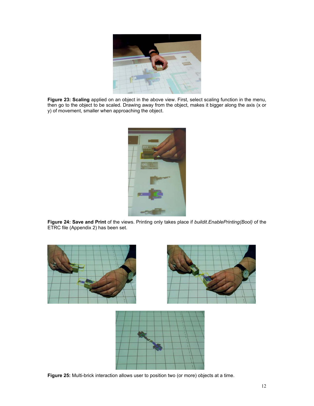

**Figure 23: Scaling** applied on an object in the above view. First, select scaling function in the menu, then go to the object to be scaled. Drawing away from the object, makes it bigger along the axis (x or y) of movement, smaller when approaching the object.



**Figure 24: Save and Print** of the views. Printing only takes place if *buildit.EnablePrinting(Bool)* of the ETRC file (Appendix 2) has been set.



**Figure 25:** Multi-brick interaction allows user to position two (or more) objects at a time.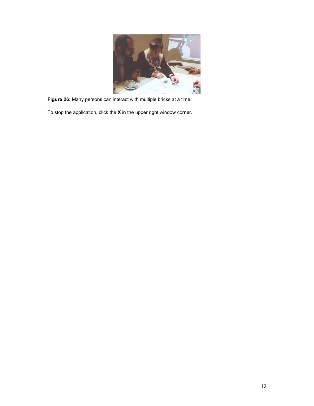

**Figure 26:** Many persons can interact with multiple bricks at a time.

To stop the application, click the **X** in the upper right window corner.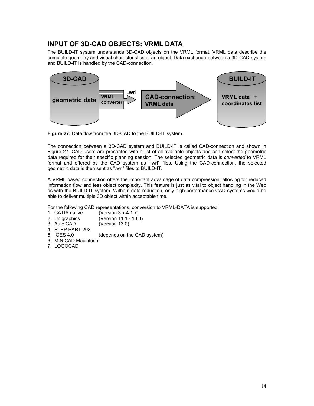### **INPUT OF 3D-CAD OBJECTS: VRML DATA**

The BUILD-IT system understands 3D-CAD objects on the VRML format. VRML data describe the complete geometry and visual characteristics of an object. Data exchange between a 3D-CAD system and BUILD-IT is handled by the CAD-connection.



**Figure 27:** Data flow from the 3D-CAD to the BUILD-IT system.

The connection between a 3D-CAD system and BUILD-IT is called CAD-connection and shown in Figure 27. CAD users are presented with a list of all available objects and can select the geometric data required for their specific planning session. The selected geometric data is *converted* to VRML format and offered by the CAD system as ".wrl" files. Using the CAD-connection, the selected geometric data is then sent as ".wrl" files to BUILD-IT.

A VRML based connection offers the important advantage of data compression, allowing for reduced information flow and less object complexity. This feature is just as vital to object handling in the Web as with the BUILD-IT system. Without data reduction, only high performance CAD systems would be able to deliver multiple 3D object within acceptable time.

For the following CAD representations, conversion to VRML-DATA is supported:

- 1. CATIA native (Version 3.x-4.1.7)
- 2. Unigraphics (Version 11.1 13.0)
- 3. Auto CAD (Version 13.0)
- 4. STEP PART 203
- 5. IGES 4.0 (depends on the CAD system)
- 6. MINICAD Macintosh
- 7. LOGOCAD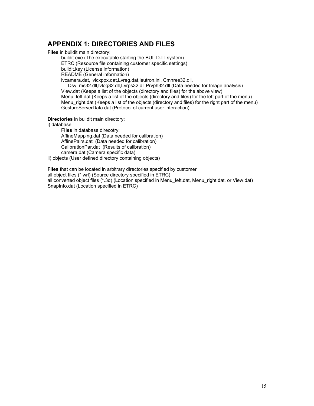### **APPENDIX 1: DIRECTORIES AND FILES**

**Files** in buildit main directory:

buildit.exe (The executable starting the BUILD-IT system) ETRC (Resource file containing customer specific settings)

buildit.key (License information) README (General information)

lvcamera.dat, lvlcxppx.dat,Lvreg.dat,leutron.ini, Cmnres32.dll,

Dsy\_ms32.dll,lvlog32.dll,Lvrps32.dll,Prvph32.dll (Data needed for Image analysis) View.dat (Keeps a list of the objects (directory and files) for the above view) Menu left.dat (Keeps a list of the objects (directory and files) for the left part of the menu) Menu<sup>r</sup>ight.dat (Keeps a list of the objects (directory and files) for the right part of the menu) GestureServerData.dat (Protocol of current user interaction)

**Directories** in buildit main directory:

i) database

**Files** in database direcotry: AffineMapping.dat (Data needed for calibration) AffinePairs.dat (Data needed for calibration) CalibrationPar.dat (Results of calibration) camera.dat (Camera specific data)

ii) objects (User defined directory containing objects)

**Files** that can be located in arbitrary directories specified by customer all object files (\*.wrl) (Source directory specified in ETRC) all converted object files (\*.3d) (Location specified in Menu\_left.dat, Menu\_right.dat, or View.dat) SnapInfo.dat (Location specified in ETRC)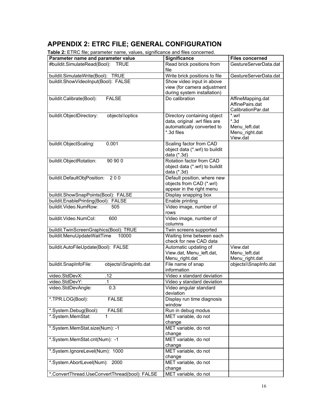## **APPENDIX 2: ETRC FILE; GENERAL CONFIGURATION**

**Table 2:** ETRC file; parameter name, values, significance and files concerned.

| <b>Table 4.</b> ETTO IIIC, parameter name, valued, digitilitance and illed concentiou. |                                   |                        |
|----------------------------------------------------------------------------------------|-----------------------------------|------------------------|
| Parameter name and parameter value                                                     | <b>Significance</b>               | <b>Files concerned</b> |
| #buildit.SimulateRead(Bool): TRUE                                                      | Read brick positions from<br>file | GestureServerData.dat  |
|                                                                                        |                                   |                        |
| buildit.SimulateWrite(Bool): TRUE                                                      | Write brick positions to file     | GestureServerData.dat  |
| buildit.ShowVideoInput(Bool): FALSE                                                    | Show video input in above         |                        |
|                                                                                        | view (for camera adjustment       |                        |
|                                                                                        | during system installation)       |                        |
| buildit.Calibrate(Bool):<br><b>FALSE</b>                                               | Do calibration                    | AffineMapping.dat      |
|                                                                                        |                                   | AffinePairs.dat        |
|                                                                                        |                                   | CalibrationPar.dat     |
| buildit.ObjectDirectory:<br>objects\\optics                                            | Directory containing object       | *.wrl                  |
|                                                                                        | data, original .wrl files are     | $*3d$                  |
|                                                                                        | automatically converted to        | Menu left.dat          |
|                                                                                        | *.3d files                        | Menu_right.dat         |
|                                                                                        |                                   | View.dat               |
| 0.001<br>buildit.ObjectScaling:                                                        | Scaling factor from CAD           |                        |
|                                                                                        | object data (*.wrl) to buildit    |                        |
|                                                                                        | data (*.3d)                       |                        |
| 90 90 0                                                                                | Rotation factor from CAD          |                        |
| buildit.ObjectRotation:                                                                |                                   |                        |
|                                                                                        | object data (*.wrl) to buildit    |                        |
|                                                                                        | data (*.3d)                       |                        |
| buildit.DefaultObjPosition: 200                                                        | Default position, where new       |                        |
|                                                                                        | objects from CAD (*.wrl)          |                        |
|                                                                                        | appear in the right menu          |                        |
| buildit.ShowSnapPoints(Bool): FALSE                                                    | Display snapping box              |                        |
| buildit.EnablePrinting(Bool): FALSE                                                    | Enable printing                   |                        |
| buildit.Video.NumRow:<br>505                                                           | Video image, number of            |                        |
|                                                                                        | rows                              |                        |
| buildit.Video.NumCol:<br>600                                                           | Video image, number of            |                        |
|                                                                                        | columns                           |                        |
| buildit.TwinScreenGraphics(Bool): TRUE                                                 | Twin screens supported            |                        |
| buildit.MenuUpdateWaitTime<br>10000                                                    | Waiting time between each         |                        |
|                                                                                        | check for new CAD data            |                        |
| buildit.AutoFileUpdate(Bool): FALSE                                                    | Automatic updating of             | View.dat               |
|                                                                                        | View.dat, Menu_left.dat,          | Menu left.dat          |
|                                                                                        | Menu_right.dat                    | Menu_right.dat         |
| buildit.SnapInfoFile:<br>objects\\SnapInfo.dat                                         | File name of snap                 | objects\\SnapInfo.dat  |
|                                                                                        | information                       |                        |
| video.StdDevX:<br>.12                                                                  | Video x standard deviation        |                        |
| video.StdDevY:<br>$\overline{1}$                                                       | Video y standard deviation        |                        |
| video.StdDevAngle:<br>0.3                                                              | Video angular standard            |                        |
|                                                                                        | deviation                         |                        |
| *.TPR.LOG(Bool):<br><b>FALSE</b>                                                       | Display run time diagnosis        |                        |
|                                                                                        | window                            |                        |
| *.System.Debug(Bool):<br><b>FALSE</b>                                                  | Run in debug modus                |                        |
| *.System.MemStat:<br>1                                                                 | MET variable, do not              |                        |
|                                                                                        | change                            |                        |
| *.System.MemStat.size(Num): -1                                                         | MET variable, do not              |                        |
|                                                                                        | change                            |                        |
| *.System.MemStat.cnt(Num): -1                                                          | MET variable, do not              |                        |
|                                                                                        | change                            |                        |
| *.System.lgnoreLevel(Num): 1000                                                        | MET variable, do not              |                        |
|                                                                                        | change                            |                        |
| *.System.AbortLevel(Num): 2000                                                         | MET variable, do not              |                        |
|                                                                                        | change                            |                        |
| *.ConvertThread.UseConvertThread(bool): FALSE                                          | MET variable, do not              |                        |
|                                                                                        |                                   |                        |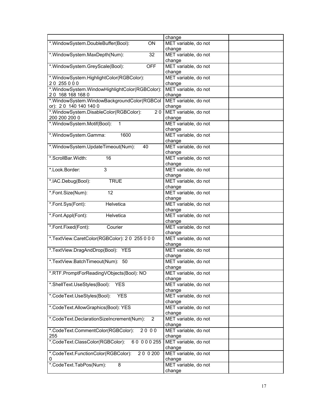|                                                              | change                         |
|--------------------------------------------------------------|--------------------------------|
| *.WindowSystem.DoubleBuffer(Bool):<br>ON                     | MET variable, do not           |
|                                                              | change                         |
| *. Window System. Max Depth (Num):<br>32                     | MET variable, do not           |
|                                                              | change                         |
| <b>OFF</b><br>*.WindowSystem.GreyScale(Bool):                | MET variable, do not<br>change |
| *. WindowSystem. HighlightColor(RGBColor):                   | MET variable, do not           |
| 20 255 0 0 0                                                 | change                         |
| *.WindowSystem.WindowHighlightColor(RGBColor):               | MET variable, do not           |
| 20 168 168 168 0                                             | change                         |
| *.WindowSystem.WindowBackgroundColor(RGBCol                  | MET variable, do not           |
| or): 20 140 140 140 0                                        | change                         |
| *.WindowSystem.DisableColor(RGBColor):<br>20                 | MET variable, do not           |
| 200 200 200 0                                                | change                         |
| *.WindowSystem.Motif(Bool):<br>$\mathbf{1}$                  | MET variable, do not           |
| *. Window System. Gamma:<br>1600                             | change<br>MET variable, do not |
|                                                              | change                         |
| *.WindowSystem.UpdateTimeout(Num):<br>40                     | MET variable, do not           |
|                                                              | change                         |
| *.ScrollBar.Width:<br>16                                     | MET variable, do not           |
|                                                              | change                         |
| 3<br>*.Look.Border:                                          | MET variable, do not           |
|                                                              | change                         |
| <b>TRUE</b><br>*.IAC.Debug(Bool):                            | MET variable, do not           |
|                                                              | change                         |
| *.Font.Size(Num):<br>12                                      | MET variable, do not           |
| *.Font.Sys(Font):<br>Helvetica                               | change<br>MET variable, do not |
|                                                              | change                         |
| *.Font.Appl(Font):<br>Helvetica                              | MET variable, do not           |
|                                                              | change                         |
| *.Font.Fixed(Font):<br>Courier                               | MET variable, do not           |
|                                                              | change                         |
| *.TextView.CaretColor(RGBColor): 20 255 0 0 0                | MET variable, do not           |
|                                                              | change                         |
| *.TextView.DragAndDrop(Bool): YES                            | MET variable, do not           |
| *.TextView.BatchTimeout(Num): 50                             | change<br>MET variable, do not |
|                                                              | change                         |
| *.RTF.PromptForReadingVObjects(Bool): NO                     | MET variable, do not           |
|                                                              | change                         |
| *.ShellText.UseStyles(Bool):<br><b>YES</b>                   | MET variable, do not           |
|                                                              | change                         |
| *.CodeText.UseStyles(Bool):<br><b>YES</b>                    | MET variable, do not           |
|                                                              | change                         |
| *.CodeText.AllowGraphics(Bool): YES                          | MET variable, do not<br>change |
| *.CodeText.DeclarationSizeIncrement(Num):<br>2               | MET variable, do not           |
|                                                              | change                         |
| 2000<br>*.CodeText.CommentColor(RGBColor):                   | MET variable, do not           |
| 255                                                          | change                         |
| *.CodeText.ClassColor(RGBColor):<br>60 000 255               | MET variable, do not           |
|                                                              | change                         |
| *.CodeText.FunctionColor(RGBColor):<br>$\overline{20}$ 0 200 | MET variable, do not           |
| 0                                                            | change                         |
| *.CodeText.TabPos(Num):<br>8                                 | MET variable, do not           |
|                                                              | change                         |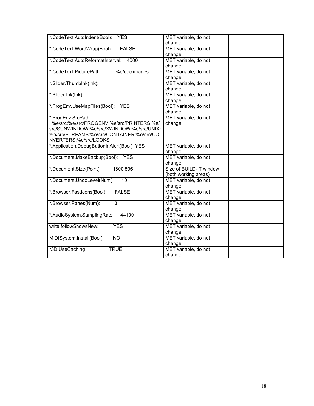| *.CodeText.AutoIndent(Bool):<br><b>YES</b>  | MET variable, do not    |
|---------------------------------------------|-------------------------|
|                                             | change                  |
| *.CodeText.WordWrap(Bool):<br><b>FALSE</b>  | MET variable, do not    |
|                                             | change                  |
| *.CodeText.AutoReformatInterval:<br>4000    | MET variable, do not    |
|                                             | change                  |
| *.CodeText.PicturePath:<br>::%e/doc:images  | MET variable, do not    |
|                                             | change                  |
| *.Slider.Thumblnk(lnk):                     | MET variable, do not    |
|                                             | change                  |
| *.Slider.Ink(Ink):                          | MET variable, do not    |
|                                             | change                  |
| *.ProgEnv.UseMapFiles(Bool):<br><b>YES</b>  | MET variable, do not    |
|                                             | change                  |
| *.ProgEnv.SrcPath:                          | MET variable, do not    |
| .:%e/src:%e/src/PROGENV:%e/src/PRINTERS:%e/ | change                  |
| src/SUNWINDOW:%e/src/XWINDOW:%e/src/UNIX:   |                         |
| %e/src/STREAMS:%e/src/CONTAINER:%e/src/CO   |                         |
| NVERTERS:%e/src/LOOKS                       |                         |
| *.Application.DebugButtonInAlert(Bool): YES | MET variable, do not    |
|                                             | change                  |
| *.Document.MakeBackup(Bool): YES            | MET variable, do not    |
|                                             | change                  |
| *.Document.Size(Point):<br>1600 595         | Size of BUILD-IT window |
|                                             | (both working areas)    |
| *.Document.UndoLevel(Num):<br>10            | MET variable, do not    |
|                                             | change                  |
| <b>FALSE</b><br>*.Browser.FastIcons(Bool):  | MET variable, do not    |
|                                             | change                  |
| $\overline{3}$<br>*.Browser.Panes(Num):     | MET variable, do not    |
|                                             | change                  |
| *.AudioSystem.SamplingRate:<br>44100        | MET variable, do not    |
|                                             | change                  |
| write.followShowsNew:<br><b>YES</b>         | MET variable, do not    |
|                                             | change                  |
| MIDISystem.Install(Bool):<br><b>NO</b>      | MET variable, do not    |
|                                             | change                  |
| <b>TRUE</b><br>*3D.UseCaching               | MET variable, do not    |
|                                             | change                  |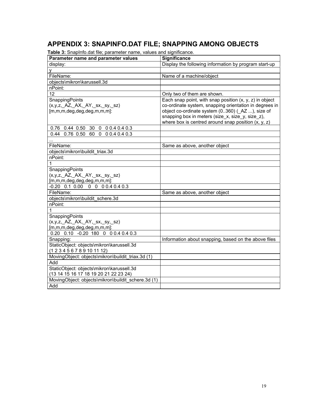## **APPENDIX 3: SNAPINFO.DAT FILE; SNAPPING AMONG OBJECTS**

**Table 3:** SnapInfo.dat file; parameter name, values and significance.

| <b>rapid of Chapmotaat mc, parameter name, values and significance.</b><br>Parameter name and parameter values | <b>Significance</b>                                       |
|----------------------------------------------------------------------------------------------------------------|-----------------------------------------------------------|
| display:                                                                                                       | Display the following information by program start-up     |
| V                                                                                                              |                                                           |
| FileName:                                                                                                      | Name of a machine/object                                  |
| objects\mikron\karussell.3d                                                                                    |                                                           |
| nPoint:                                                                                                        |                                                           |
| 12                                                                                                             | Only two of them are shown.                               |
| SnappingPoints                                                                                                 | Each snap point, with snap position $(x, y, z)$ in object |
| (x,y,z, AZ, AX, AY, sx, sy, sz)                                                                                | co-ordinate system, snapping orientation in degrees in    |
| [m,m,m,deg,deg,deg,m,m,m]:                                                                                     | object co-ordinate system (0360) (_AZ ), size of          |
|                                                                                                                | snapping box in meters (size_x, size_y, size_z),          |
|                                                                                                                | where box is centred around snap position $(x, y, z)$     |
| 0.76 0.44 0.50 30 0 0 0.4 0.4 0.3                                                                              |                                                           |
| 0.44 0.76 0.50 60 0 0 0.4 0.4 0.3                                                                              |                                                           |
|                                                                                                                |                                                           |
| FileName:                                                                                                      | Same as above, another object                             |
| objects\mikron\buildit_triax.3d                                                                                |                                                           |
| nPoint:                                                                                                        |                                                           |
| 1                                                                                                              |                                                           |
| SnappingPoints                                                                                                 |                                                           |
| (x,y,z, AZ, AX, AY, sx, sy, sz)                                                                                |                                                           |
| $[m,m,m,deg,deg,deg,m,m,m]$ :                                                                                  |                                                           |
| $-0.20$ 0.1 0.00 0 0 0 0.4 0.4 0.3                                                                             |                                                           |
| FileName:                                                                                                      | Same as above, another object                             |
| objects\mikron\buildit schere.3d                                                                               |                                                           |
| nPoint:                                                                                                        |                                                           |
| 1                                                                                                              |                                                           |
| SnappingPoints                                                                                                 |                                                           |
| (x,y,z, AZ, AX, AY, sx, sy, sz)                                                                                |                                                           |
| [m,m,m,deg,deg,deg,m,m,m]:                                                                                     |                                                           |
| 0.20 0.10 -0.20 180 0 0 0.4 0.4 0.3                                                                            |                                                           |
| Snapping:                                                                                                      | Information about snapping, based on the above files      |
| StaticObject: objects\mikron\karussell.3d                                                                      |                                                           |
| (1 2 3 4 5 6 7 8 9 10 11 12)                                                                                   |                                                           |
| MovingObject: objects\mikron\buildit_triax.3d (1)                                                              |                                                           |
| Add                                                                                                            |                                                           |
| StaticObject: objects\mikron\karussell.3d                                                                      |                                                           |
| (13 14 15 16 17 18 19 20 21 22 23 24)                                                                          |                                                           |
| MovingObject: objects\mikron\buildit_schere.3d (1)                                                             |                                                           |
| Add                                                                                                            |                                                           |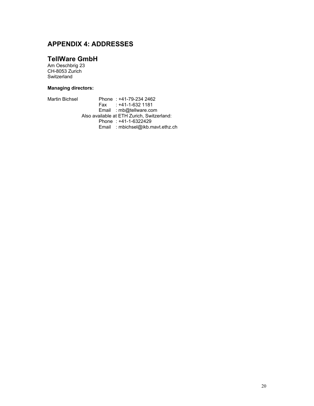## **APPENDIX 4: ADDRESSES**

### **TellWare GmbH**

Am Oeschbrig 23 CH-8053 Zurich Switzerland

### **Managing directors:**

| <b>Martin Bichsel</b> | Phone: +41-79-234 2462                     |
|-----------------------|--------------------------------------------|
|                       | Fax: $+41-1-632$ 1181                      |
|                       | Email: mb@tellware.com                     |
|                       | Also available at ETH Zurich, Switzerland: |
|                       | Phone: +41-1-6322429                       |
|                       | Email: mbichsel@ikb.mavt.ethz.ch           |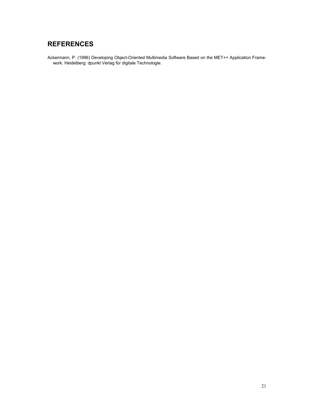## **REFERENCES**

Ackermann, P. (1996) Developing Object-Oriented Multimedia Software Based on the MET++ Application Framework. Heidelberg: dpunkt Verlag für digitale Technologie.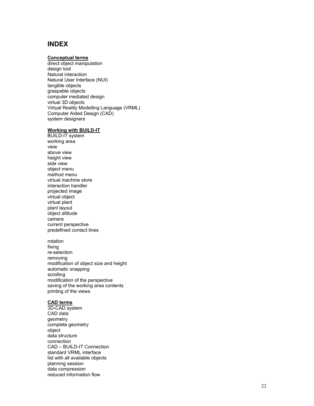### **INDEX**

### **Conceptual terms**

direct object manipulation design tool Natural interaction Natural User Interface (NUI) tangible objects graspable objects computer mediated design virtual 3D objects Virtual Reality Modelling Language (VRML) Computer Aided Design (CAD) system designers

### **Working with BUILD-IT**

BUILD-IT system working area view above view height view side view object menu method menu virtual machine store interaction handler projected image virtual object virtual plant plant layout object altitude camera current perspective predefined contact lines

rotation fixing re-selection removing modification of object size and height automatic snapping scrolling modification of the perspective saving of the working area contents printing of the views

#### **CAD terms**

3D-CAD system CAD data geometry complete geometry object data structure connection CAD – BUILD-IT Connection standard VRML interface list with all available objects planning session data compression reduced information flow